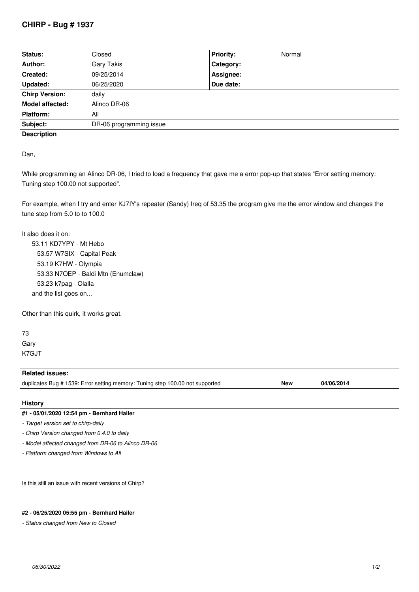## **CHIRP - Bug # 1937**

| Status:                                                                                                                       | Closed                                                                        | <b>Priority:</b><br>Normal |
|-------------------------------------------------------------------------------------------------------------------------------|-------------------------------------------------------------------------------|----------------------------|
| Author:                                                                                                                       | <b>Gary Takis</b>                                                             | Category:                  |
| Created:                                                                                                                      | 09/25/2014                                                                    | Assignee:                  |
| <b>Updated:</b>                                                                                                               | 06/25/2020                                                                    | Due date:                  |
| <b>Chirp Version:</b>                                                                                                         | daily                                                                         |                            |
| <b>Model affected:</b>                                                                                                        | Alinco DR-06                                                                  |                            |
| Platform:                                                                                                                     | All                                                                           |                            |
| Subject:                                                                                                                      | DR-06 programming issue                                                       |                            |
| <b>Description</b>                                                                                                            |                                                                               |                            |
|                                                                                                                               |                                                                               |                            |
| Dan,                                                                                                                          |                                                                               |                            |
|                                                                                                                               |                                                                               |                            |
| While programming an Alinco DR-06, I tried to load a frequency that gave me a error pop-up that states "Error setting memory: |                                                                               |                            |
|                                                                                                                               |                                                                               |                            |
| Tuning step 100.00 not supported".                                                                                            |                                                                               |                            |
|                                                                                                                               |                                                                               |                            |
| For example, when I try and enter KJ7IY's repeater (Sandy) freq of 53.35 the program give me the error window and changes the |                                                                               |                            |
| tune step from 5.0 to to 100.0                                                                                                |                                                                               |                            |
|                                                                                                                               |                                                                               |                            |
| It also does it on:                                                                                                           |                                                                               |                            |
| 53.11 KD7YPY - Mt Hebo                                                                                                        |                                                                               |                            |
| 53.57 W7SIX - Capital Peak                                                                                                    |                                                                               |                            |
| 53.19 K7HW - Olympia                                                                                                          |                                                                               |                            |
| 53.33 N7OEP - Baldi Mtn (Enumclaw)                                                                                            |                                                                               |                            |
| 53.23 k7pag - Olalla                                                                                                          |                                                                               |                            |
| and the list goes on                                                                                                          |                                                                               |                            |
|                                                                                                                               |                                                                               |                            |
| Other than this quirk, it works great.                                                                                        |                                                                               |                            |
|                                                                                                                               |                                                                               |                            |
| 73                                                                                                                            |                                                                               |                            |
| Gary                                                                                                                          |                                                                               |                            |
| K7GJT                                                                                                                         |                                                                               |                            |
|                                                                                                                               |                                                                               |                            |
| <b>Related issues:</b>                                                                                                        |                                                                               |                            |
|                                                                                                                               | duplicates Bug # 1539: Error setting memory: Tuning step 100.00 not supported | 04/06/2014<br><b>New</b>   |
|                                                                                                                               |                                                                               |                            |
| <b>History</b>                                                                                                                |                                                                               |                            |
| #1 - 05/01/2020 12:54 pm - Bernhard Hailer                                                                                    |                                                                               |                            |

*- Target version set to chirp-daily*

*- Chirp Version changed from 0.4.0 to daily*

*- Model affected changed from DR-06 to Alinco DR-06*

*- Platform changed from Windows to All*

*Is this still an issue with recent versions of Chirp?*

## **#2 - 06/25/2020 05:55 pm - Bernhard Hailer**

*- Status changed from New to Closed*